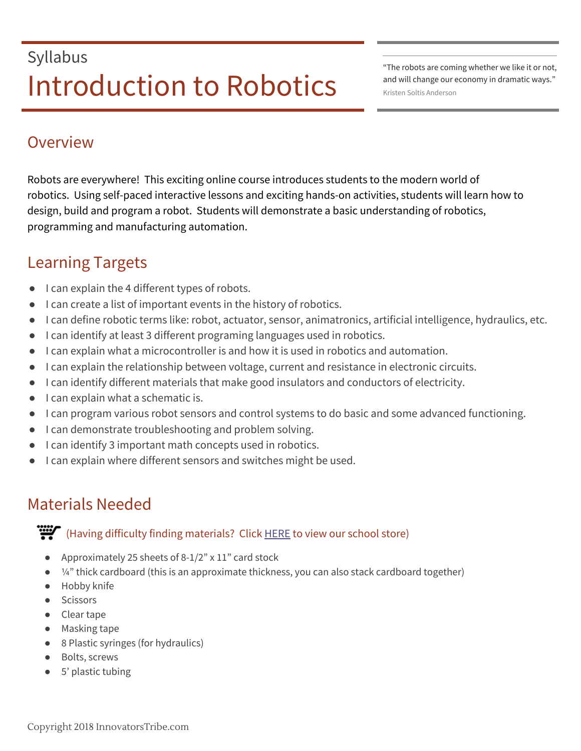# Syllabus Introduction to Robotics **Mandella Anderson**

"The robots are coming whether we like it or not, and will change our economy in dramatic ways."

### Overview

Robots are everywhere! This exciting online course introduces students to the modern world of robotics. Using self-paced interactive lessons and exciting hands-on activities, students will learn how to design, build and program a robot. Students will demonstrate a basic understanding of robotics, programming and manufacturing automation.

### Learning Targets

- I can explain the 4 different types of robots.
- I can create a list of important events in the history of robotics.
- I can define robotic terms like: robot, actuator, sensor, animatronics, artificial intelligence, hydraulics, etc.
- I can identify at least 3 different programing languages used in robotics.
- I can explain what a microcontroller is and how it is used in robotics and automation.
- I can explain the relationship between voltage, current and resistance in electronic circuits.
- I can identify different materials that make good insulators and conductors of electricity.
- I can explain what a schematic is.
- I can program various robot sensors and control systems to do basic and some advanced functioning.
- I can demonstrate troubleshooting and problem solving.
- I can identify 3 important math concepts used in robotics.
- I can explain where different sensors and switches might be used.

## Materials Needed

**W** (Having difficulty finding materials? Click  $HERE$  to view our school store)

- Approximately 25 sheets of 8-1/2" x 11" card stock
- $\bullet$   $\frac{1}{4}$ " thick cardboard (this is an approximate thickness, you can also stack cardboard together)
- Hobby knife
- Scissors
- Clear tape
- Masking tape
- 8 Plastic syringes (for hydraulics)
- Bolts, screws
- 5' plastic tubing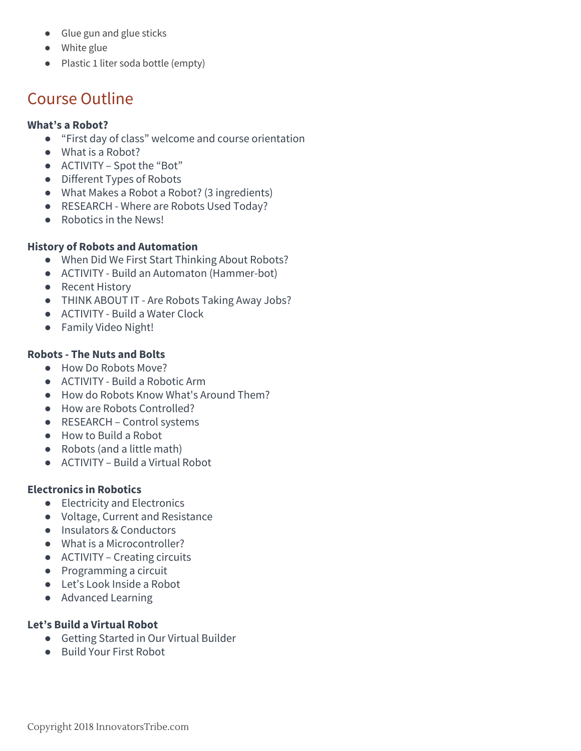- Glue gun and glue sticks
- White glue
- Plastic 1 liter soda bottle (empty)

### Course Outline

#### **What's a Robot?**

- "First day of class" welcome and course orientation
- What is a Robot?
- ACTIVITY Spot the "Bot"
- Different Types of Robots
- What Makes a Robot a Robot? (3 ingredients)
- RESEARCH Where are Robots Used Today?
- Robotics in the News!

#### **History of Robots and Automation**

- When Did We First Start Thinking About Robots?
- ACTIVITY Build an Automaton (Hammer-bot)
- Recent History
- THINK ABOUT IT Are Robots Taking Away Jobs?
- ACTIVITY Build a Water Clock
- Family Video Night!

#### **Robots - The Nuts and Bolts**

- How Do Robots Move?
- ACTIVITY Build a Robotic Arm
- How do Robots Know What's Around Them?
- How are Robots Controlled?
- RESEARCH Control systems
- How to Build a Robot
- Robots (and a little math)
- ACTIVITY Build a Virtual Robot

#### **Electronics in Robotics**

- Electricity and Electronics
- Voltage, Current and Resistance
- Insulators & Conductors
- What is a Microcontroller?
- ACTIVITY Creating circuits
- Programming a circuit
- Let's Look Inside a Robot
- Advanced Learning

#### **Let's Build a Virtual Robot**

- Getting Started in Our Virtual Builder
- Build Your First Robot